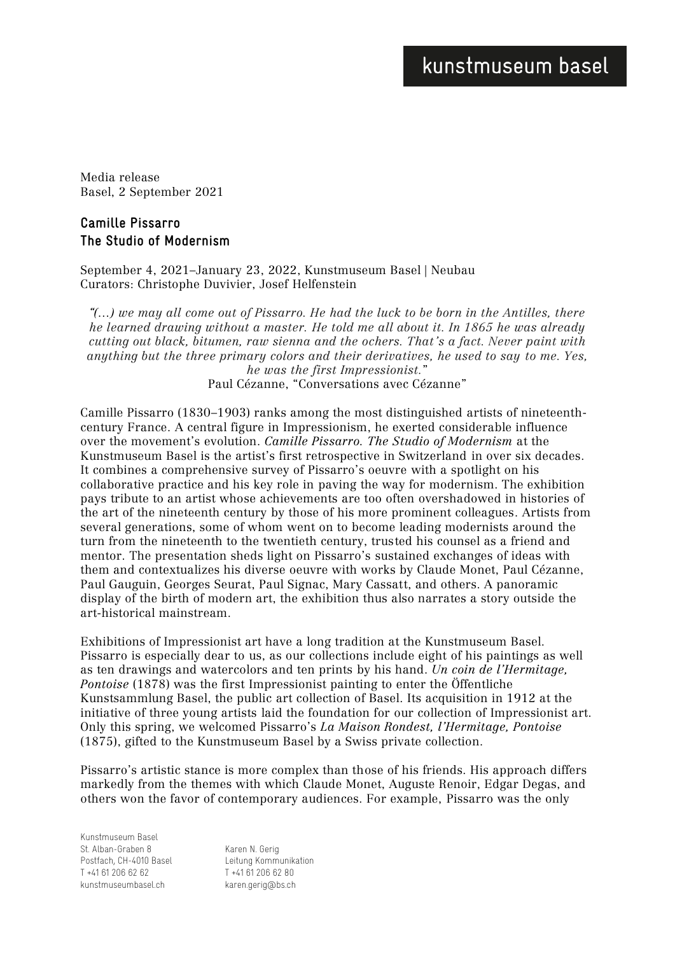# kunstmuseum basel

Media release Basel, 2 September 2021

# **Camille Pissarro The Studio of Modernism**

September 4, 2021–January 23, 2022, Kunstmuseum Basel | Neubau Curators: Christophe Duvivier, Josef Helfenstein

*"(…) we may all come out of Pissarro. He had the luck to be born in the Antilles, there he learned drawing without a master. He told me all about it. In 1865 he was already cutting out black, bitumen, raw sienna and the ochers. That's a fact. Never paint with anything but the three primary colors and their derivatives, he used to say to me. Yes, he was the first Impressionist.*" Paul Cézanne, "Conversations avec Cézanne"

Camille Pissarro (1830–1903) ranks among the most distinguished artists of nineteenthcentury France. A central figure in Impressionism, he exerted considerable influence over the movement's evolution. *Camille Pissarro. The Studio of Modernism* at the Kunstmuseum Basel is the artist's first retrospective in Switzerland in over six decades. It combines a comprehensive survey of Pissarro's oeuvre with a spotlight on his collaborative practice and his key role in paving the way for modernism. The exhibition pays tribute to an artist whose achievements are too often overshadowed in histories of the art of the nineteenth century by those of his more prominent colleagues. Artists from several generations, some of whom went on to become leading modernists around the turn from the nineteenth to the twentieth century, trusted his counsel as a friend and mentor. The presentation sheds light on Pissarro's sustained exchanges of ideas with them and contextualizes his diverse oeuvre with works by Claude Monet, Paul Cézanne, Paul Gauguin, Georges Seurat, Paul Signac, Mary Cassatt, and others. A panoramic display of the birth of modern art, the exhibition thus also narrates a story outside the art-historical mainstream.

Exhibitions of Impressionist art have a long tradition at the Kunstmuseum Basel. Pissarro is especially dear to us, as our collections include eight of his paintings as well as ten drawings and watercolors and ten prints by his hand. *Un coin de l'Hermitage, Pontoise* (1878) was the first Impressionist painting to enter the Öffentliche Kunstsammlung Basel, the public art collection of Basel. Its acquisition in 1912 at the initiative of three young artists laid the foundation for our collection of Impressionist art. Only this spring, we welcomed Pissarro's *La Maison Rondest, l'Hermitage, Pontoise* (1875), gifted to the Kunstmuseum Basel by a Swiss private collection.

Pissarro's artistic stance is more complex than those of his friends. His approach differs markedly from the themes with which Claude Monet, Auguste Renoir, Edgar Degas, and others won the favor of contemporary audiences. For example, Pissarro was the only

Kunstmuseum Basel St. Alban-Graben 8 Postfach, CH-4010 Basel  $T + 41612066262$ kunstmuseumbasel.ch

Karen N. Gerig Leitung Kommunikation T +41 61 206 62 80 karen.gerig@bs.ch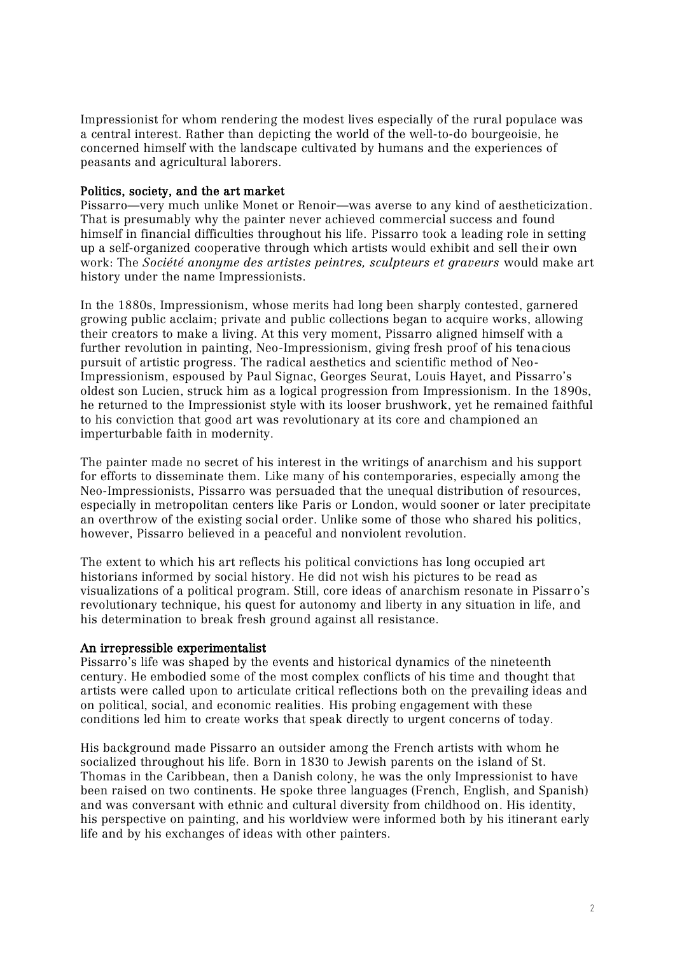Impressionist for whom rendering the modest lives especially of the rural populace was a central interest. Rather than depicting the world of the well-to-do bourgeoisie, he concerned himself with the landscape cultivated by humans and the experiences of peasants and agricultural laborers.

### Politics, society, and the art market

Pissarro—very much unlike Monet or Renoir—was averse to any kind of aestheticization. That is presumably why the painter never achieved commercial success and found himself in financial difficulties throughout his life. Pissarro took a leading role in setting up a self-organized cooperative through which artists would exhibit and sell their own work: The *Société anonyme des artistes peintres, sculpteurs et graveurs* would make art history under the name Impressionists.

In the 1880s, Impressionism, whose merits had long been sharply contested, garnered growing public acclaim; private and public collections began to acquire works, allowing their creators to make a living. At this very moment, Pissarro aligned himself with a further revolution in painting, Neo-Impressionism, giving fresh proof of his tenacious pursuit of artistic progress. The radical aesthetics and scientific method of Neo-Impressionism, espoused by Paul Signac, Georges Seurat, Louis Hayet, and Pissarro's oldest son Lucien, struck him as a logical progression from Impressionism. In the 1890s, he returned to the Impressionist style with its looser brushwork, yet he remained faithful to his conviction that good art was revolutionary at its core and championed an imperturbable faith in modernity.

The painter made no secret of his interest in the writings of anarchism and his support for efforts to disseminate them. Like many of his contemporaries, especially among the Neo-Impressionists, Pissarro was persuaded that the unequal distribution of resources, especially in metropolitan centers like Paris or London, would sooner or later precipitate an overthrow of the existing social order. Unlike some of those who shared his politics, however, Pissarro believed in a peaceful and nonviolent revolution.

The extent to which his art reflects his political convictions has long occupied art historians informed by social history. He did not wish his pictures to be read as visualizations of a political program. Still, core ideas of anarchism resonate in Pissarro's revolutionary technique, his quest for autonomy and liberty in any situation in life, and his determination to break fresh ground against all resistance.

## An irrepressible experimentalist

Pissarro's life was shaped by the events and historical dynamics of the nineteenth century. He embodied some of the most complex conflicts of his time and thought that artists were called upon to articulate critical reflections both on the prevailing ideas and on political, social, and economic realities. His probing engagement with these conditions led him to create works that speak directly to urgent concerns of today.

His background made Pissarro an outsider among the French artists with whom he socialized throughout his life. Born in 1830 to Jewish parents on the island of St. Thomas in the Caribbean, then a Danish colony, he was the only Impressionist to have been raised on two continents. He spoke three languages (French, English, and Spanish) and was conversant with ethnic and cultural diversity from childhood on. His identity, his perspective on painting, and his worldview were informed both by his itinerant early life and by his exchanges of ideas with other painters.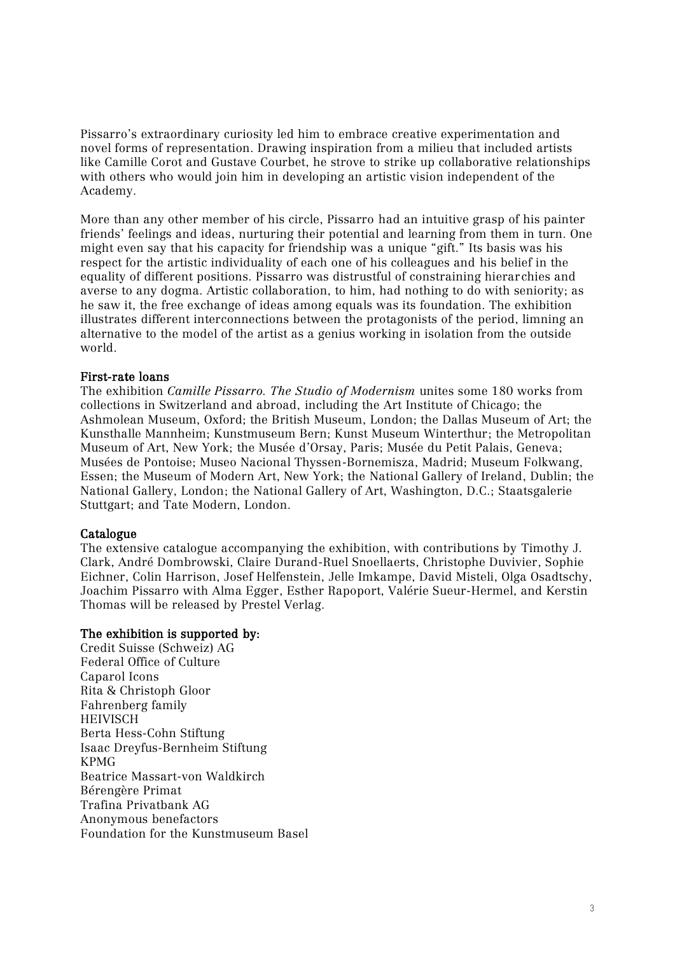Pissarro's extraordinary curiosity led him to embrace creative experimentation and novel forms of representation. Drawing inspiration from a milieu that included artists like Camille Corot and Gustave Courbet, he strove to strike up collaborative relationships with others who would join him in developing an artistic vision independent of the Academy.

More than any other member of his circle, Pissarro had an intuitive grasp of his painter friends' feelings and ideas, nurturing their potential and learning from them in turn. One might even say that his capacity for friendship was a unique "gift." Its basis was his respect for the artistic individuality of each one of his colleagues and his belief in the equality of different positions. Pissarro was distrustful of constraining hierarchies and averse to any dogma. Artistic collaboration, to him, had nothing to do with seniority; as he saw it, the free exchange of ideas among equals was its foundation. The exhibition illustrates different interconnections between the protagonists of the period, limning an alternative to the model of the artist as a genius working in isolation from the outside world.

#### First-rate loans

The exhibition *Camille Pissarro. The Studio of Modernism* unites some 180 works from collections in Switzerland and abroad, including the Art Institute of Chicago; the Ashmolean Museum, Oxford; the British Museum, London; the Dallas Museum of Art; the Kunsthalle Mannheim; Kunstmuseum Bern; Kunst Museum Winterthur; the Metropolitan Museum of Art, New York; the Musée d'Orsay, Paris; Musée du Petit Palais, Geneva; Musées de Pontoise; Museo Nacional Thyssen-Bornemisza, Madrid; Museum Folkwang, Essen; the Museum of Modern Art, New York; the National Gallery of Ireland, Dublin; the National Gallery, London; the National Gallery of Art, Washington, D.C.; Staatsgalerie Stuttgart; and Tate Modern, London.

#### Catalogue

The extensive catalogue accompanying the exhibition, with contributions by Timothy J. Clark, André Dombrowski, Claire Durand-Ruel Snoellaerts, Christophe Duvivier, Sophie Eichner, Colin Harrison, Josef Helfenstein, Jelle Imkampe, David Misteli, Olga Osadtschy, Joachim Pissarro with Alma Egger, Esther Rapoport, Valérie Sueur-Hermel, and Kerstin Thomas will be released by Prestel Verlag.

#### The exhibition is supported by:

Credit Suisse (Schweiz) AG Federal Office of Culture Caparol Icons Rita & Christoph Gloor Fahrenberg family HEIVISCH Berta Hess-Cohn Stiftung Isaac Dreyfus-Bernheim Stiftung KPMG Beatrice Massart-von Waldkirch Bérengère Primat Trafina Privatbank AG Anonymous benefactors Foundation for the Kunstmuseum Basel